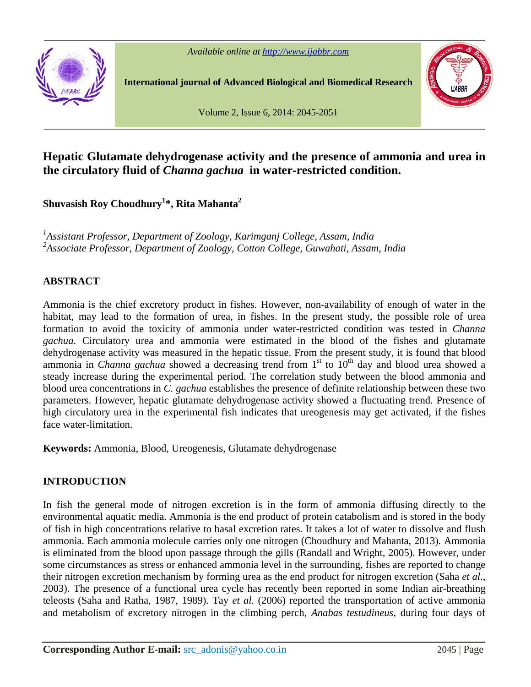

**International journal of Advanced Biological and Biomedical Research**



Volume 2, Issue 6, 2014: 2045-2051

# **Hepatic Glutamate dehydrogenase activity and the presence of ammonia and urea in the circulatory fluid of** *Channa gachua* **in water-restricted condition.**

**Shuvasish Roy Choudhury <sup>1</sup>\*, Rita Mahanta 2**

*<sup>1</sup>Assistant Professor, Department of Zoology, Karimganj College, Assam, India <sup>2</sup>Associate Professor, Department of Zoology, Cotton College, Guwahati, Assam, India*

## **ABSTRACT**

Ammonia is the chief excretory product in fishes. However, non-availability of enough of water in the habitat, may lead to the formation of urea, in fishes. In the present study, the possible role of urea formation to avoid the toxicity of ammonia under water-restricted condition was tested in *Channa gachua*. Circulatory urea and ammonia were estimated in the blood of the fishes and glutamate dehydrogenase activity was measured in the hepatic tissue. From the present study, it is found that blood ammonia in *Channa gachua* showed a decreasing trend from 1<sup>st</sup> to 10<sup>th</sup> day and blood urea showed a steady increase during the experimental period. The correlation study between the blood ammonia and blood urea concentrations in *C. gachua* establishes the presence of definite relationship between these two parameters. However, hepatic glutamate dehydrogenase activity showed a fluctuating trend. Presence of high circulatory urea in the experimental fish indicates that ureogenesis may get activated, if the fishes face water-limitation.

**Keywords:** Ammonia, Blood, Ureogenesis, Glutamate dehydrogenase

## **INTRODUCTION**

In fish the general mode of nitrogen excretion is in the form of ammonia diffusing directly to the environmental aquatic media. Ammonia is the end product of protein catabolism and is stored in the body of fish in high concentrations relative to basal excretion rates. It takes a lot of water to dissolve and flush ammonia. Each ammonia molecule carries only one nitrogen (Choudhury and Mahanta, 2013). Ammonia is eliminated from the blood upon passage through the gills (Randall and Wright, 2005). However, under some circumstances as stress or enhanced ammonia level in the surrounding, fishes are reported to change their nitrogen excretion mechanism by forming urea as the end product for nitrogen excretion (Saha *et al.*, 2003). The presence of a functional urea cycle has recently been reported in some Indian air-breathing teleosts (Saha and Ratha, 1987, 1989). Tay *et al.* (2006) reported the transportation of active ammonia and metabolism of excretory nitrogen in the climbing perch, *Anabas testudineus*, during four days of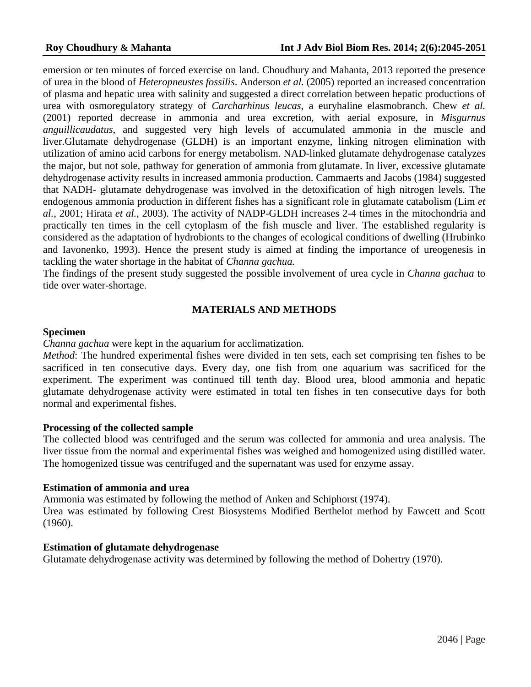emersion or ten minutes of forced exercise on land. Choudhury and Mahanta, 2013 reported the presence of urea in the blood of *Heteropneustes fossilis*. Anderson *et al.* (2005) reported an increased concentration of plasma and hepatic urea with salinity and suggested a direct correlation between hepatic productions of urea with osmoregulatory strategy of *Carcharhinus leucas*, a euryhaline elasmobranch. Chew *et al.* (2001) reported decrease in ammonia and urea excretion, with aerial exposure, in *Misgurnus anguillicaudatus*, and suggested very high levels of accumulated ammonia in the muscle and liver.Glutamate dehydrogenase (GLDH) is an important enzyme, linking nitrogen elimination with utilization of amino acid carbons for energy metabolism. NAD-linked glutamate dehydrogenase catalyzes the major, but not sole, pathway for generation of ammonia from glutamate. In liver, excessive glutamate dehydrogenase activity results in increased ammonia production. Cammaerts and Jacobs (1984) suggested that NADH- glutamate dehydrogenase was involved in the detoxification ofhigh nitrogen levels. The endogenous ammonia production in different fishes has a significant role in glutamate catabolism (Lim *et al.*, 2001; Hirata *et al.*, 2003). The activity of NADP-GLDH increases 2-4 times in the mitochondria and practically ten times in the cell cytoplasm of the fish muscle and liver. The established regularity is considered as the adaptation of hydrobionts to the changes of ecological conditions of dwelling (Hrubinko and Iavonenko, 1993). Hence the present study is aimed at finding the importance of ureogenesis in tackling the water shortage in the habitat of *Channa gachua.*

The findings of the present study suggested the possible involvement of urea cycle in *Channa gachua* to tide over water-shortage.

## **MATERIALS AND METHODS**

#### **Specimen**

*Channa gachua* were kept in the aquarium for acclimatization.

*Method*: The hundred experimental fishes were divided in ten sets, each set comprising ten fishes to be sacrificed in ten consecutive days. Every day, one fish from one aquarium was sacrificed for the experiment. The experiment was continued till tenth day. Blood urea, blood ammonia and hepatic glutamate dehydrogenase activity were estimated in total ten fishes in ten consecutive days for both normal and experimental fishes.

### **Processing of the collected sample**

The collected blood was centrifuged and the serum was collected for ammonia and urea analysis. The liver tissue from the normal and experimental fishes was weighed and homogenized using distilled water. The homogenized tissue was centrifuged and the supernatant was used for enzyme assay.

#### **Estimation of ammonia and urea**

Ammonia was estimated by following the method of Anken and Schiphorst (1974). Urea was estimated by following Crest Biosystems Modified Berthelot method by Fawcett and Scott (1960).

### **Estimation of glutamate dehydrogenase**

Glutamate dehydrogenase activity was determined by following the method of Dohertry (1970).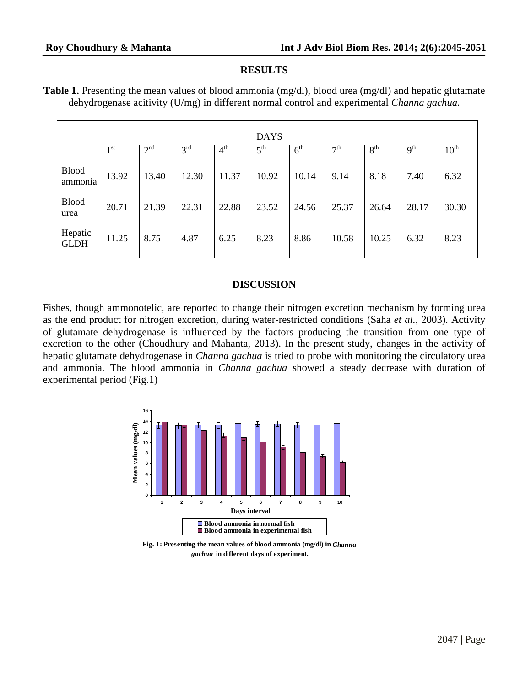## **RESULTS**

| <b>Table 1.</b> Presenting the mean values of blood ammonia $(mg/dl)$ , blood urea $(mg/dl)$ and hepatic glutamate |  |
|--------------------------------------------------------------------------------------------------------------------|--|
| dehydrogenase acitivity (U/mg) in different normal control and experimental Channa gachua.                         |  |

|                         |                 |                 |                 |                 | <b>DAYS</b>     |                 |                      |                 |                 |                  |
|-------------------------|-----------------|-----------------|-----------------|-----------------|-----------------|-----------------|----------------------|-----------------|-----------------|------------------|
|                         | 1 <sup>st</sup> | 2 <sup>nd</sup> | 3 <sup>rd</sup> | 4 <sup>th</sup> | $5^{\text{th}}$ | 6 <sup>th</sup> | $\tau$ <sup>th</sup> | 8 <sup>th</sup> | 9 <sup>th</sup> | $10^{\text{th}}$ |
| <b>Blood</b><br>ammonia | 13.92           | 13.40           | 12.30           | 11.37           | 10.92           | 10.14           | 9.14                 | 8.18            | 7.40            | 6.32             |
| <b>Blood</b><br>urea    | 20.71           | 21.39           | 22.31           | 22.88           | 23.52           | 24.56           | 25.37                | 26.64           | 28.17           | 30.30            |
| Hepatic<br><b>GLDH</b>  | 11.25           | 8.75            | 4.87            | 6.25            | 8.23            | 8.86            | 10.58                | 10.25           | 6.32            | 8.23             |

## **DISCUSSION**

Fishes, though ammonotelic, are reported to change their nitrogen excretion mechanism by forming urea as the end product for nitrogen excretion, during water-restricted conditions (Saha *et al.*, 2003). Activity of glutamate dehydrogenase is influenced by the factors producing the transition from one type of excretion to the other (Choudhury and Mahanta, 2013). In the present study, changes in the activity of hepatic glutamate dehydrogenase in *Channa gachua* is tried to probe with monitoring the circulatory urea and ammonia. The blood ammonia in *Channa gachua* showed a steady decrease with duration of experimental period (Fig.1)



**Fig. 1: Presenting the mean values of blood ammonia (mg/dl) in** *Channa gachua* **in different days of experiment.**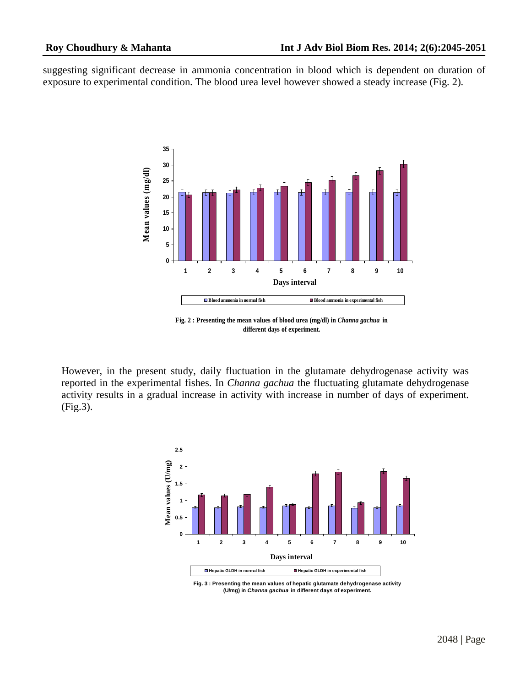suggesting significant decrease in ammonia concentration in blood which is dependent on duration of exposure to experimental condition. The blood urea level however showed a steady increase (Fig. 2).



**Fig. 2 : Presenting the mean values of blood urea (mg/dl) in** *Channa gachua* **in different days of experiment.**

However, in the present study, daily fluctuation in the glutamate dehydrogenase activity was reported in the experimental fishes. In *Channa gachua* the fluctuating glutamate dehydrogenase activity results in a gradual increase in activity with increase in number of days of experiment. (Fig.3).



**Fig. 3 : Presenting the mean values of hepatic glutamate dehydrogenase activity (U/mg) in Channa gachua in different days of experiment.**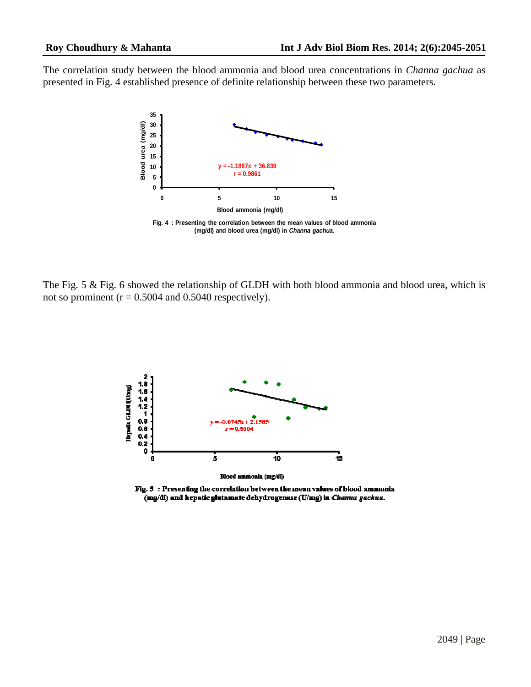The correlation study between the blood ammonia and blood urea concentrations in *Channa gachua* as presented in Fig.4 established presence of definite relationship between these two parameters.



The Fig. 5 & Fig. 6 showed the relationship of GLDH with both blood ammonia and blood urea, which is not so prominent ( $r = 0.5004$  and 0.5040 respectively).



Fig. 5 : Presenting the correlation between the mean values of blood ammonia (mg/dl) and hepatic glutamate dehydrogenase (U/mg) in *Channa gachua*.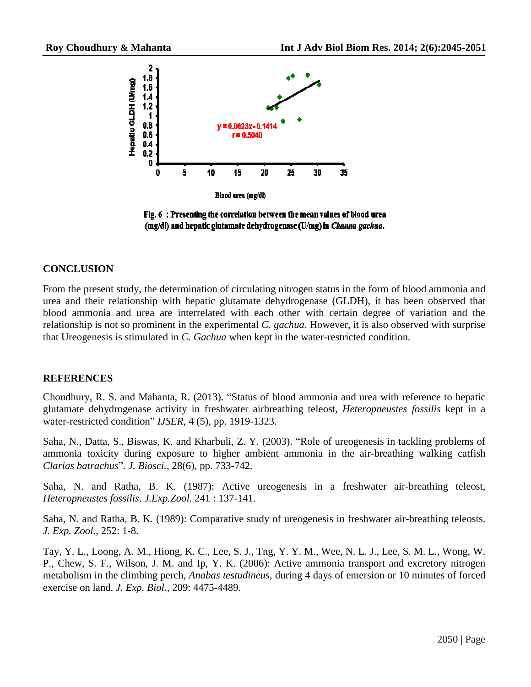

Fig. 6 : Presenting the correlation between the mean values of blood urea (mg/dl) and hepatic glutamate dehydrogenase (U/mg) in Channa gachua.

## **CONCLUSION**

From the present study, the determination of circulating nitrogen status in the form of blood ammonia and urea and their relationship with hepatic glutamate dehydrogenase (GLDH), it has been observed that blood ammonia and urea are interrelated with each other with certain degree of variation and the relationship is not so prominent in the experimental *C. gachua*. However, it is also observed with surprise that Ureogenesis is stimulated in *C. Gachua* when kept in the water-restricted condition.

## **REFERENCES**

REFERENCES<br>Choudhury, R. S. and Mahanta, R. (2013). "Status of blood ammonia and urea with reference to hepatic glutamate dehydrogenase activity in freshwater airbreathing teleost, *Heteropneustes fossilis* kept in a Choudhury, R. S. and Mahanta, R. (2013). "Status of blood glutamate dehydrogenase activity in freshwater airbreathin water-restricted condition" *IJSER*, 4 (5), pp. 1919-1323. Saha, N., Datta, S., Biswas, K. and Kharbuli, Z. Y. (2003). "Role of ureogenesis in tackling problems of Saha, N., Datta, S., Biswas, K. and Kharbuli, Z. Y. (2003). "Role of ureogenesis in tackling problems of

ammonia toxicity during exposure to higher ambient ammonia in the air-breathing walking catfish Saha, N., Datta, S., Biswas, K. and Kharbuli, Z. Y. (2)<br>ammonia toxicity during exposure to higher ambies<br>*Clarias batrachus*<sup>3</sup>. *J. Biosci.*, 28(6), pp. 733-742.

Saha, N. and Ratha, B. K. (1987): Active ureogenesis in a freshwater air-breathing teleost, *Heteropneustes fossilis*. *J.Exp.Zool.* 241 : 137-141.

Saha, N. and Ratha, B. K. (1989): Comparative study of ureogenesis in freshwater air-breathing teleosts. *J. Exp. Zool.*, 252: 1-8.

Tay, Y. L., Loong, A. M., Hiong, K. C., Lee, S. J., Tng, Y. Y. M., Wee, N. L. J., Lee, S. M. L., Wong, W. P., Chew, S. F., Wilson, J. M. and Ip, Y. K. (2006): Active ammonia transport and excretory nitrogen metabolism in the climbing perch, *Anabas testudineus*, during 4 days of emersion or 10 minutes of forced exercise on land. *J. Exp. Biol.*, 209: 4475-4489.